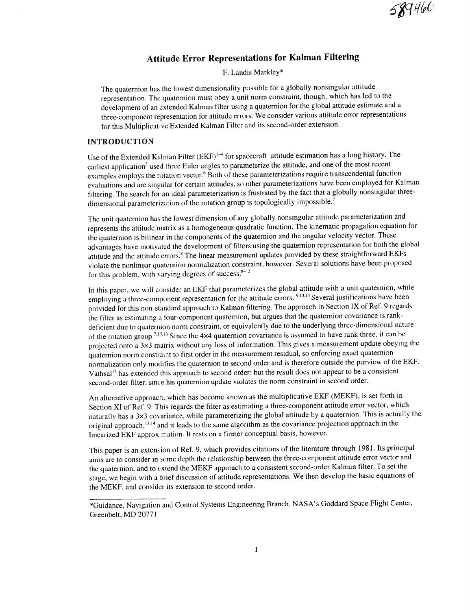# **Attitude Error Representations for Kalman Filtering**

**F. Landis** Markley\*

The quaternion has the lowest dimensionality possible for a globally nonsingular attitude representation. The quaternion must obey a unit norm constraint, though, which has led to the development of an extended Kalman filter using a quaternion for the global attitude estimate and a three-component representation for attitude errors. We consider various attitude error representations for this Multiplicative Extended Kalman Filter and its second-order extension.

## INTRODUCTION

Use of the Extended Kalman Filter (EKF)<sup>1-4</sup> for spacecraft attitude estimation has a long history. The earliest application<sup>5</sup> used three Euler angles to parameterize the attitude, and one of the most recent examples employs the rotation vector.<sup>6</sup> Both of these parameterizations require transcendental function evaluations and are singular for certain attitudes, so other parameterizations have been employed for Kalman filtering. The search for an ideal parameterization is frustrated by the fact that a globally nonsingular threedimensional parameterization of the rotation group is topologically impossible.<sup>7</sup>

The unit quaternion has the lowest dimension of any globally nonsingular attitude parameterization and represents the attitude matrix as a homogeneous quadratic function. The kinematic propagation equation for the quaternion is bilinear in the components of the quaternion and the angular velocity vector. These advantages have motivated the development of filters using the quaternion representation for both the global attitude and the attitude errors.<sup>8</sup> The linear measurement updates provided by these straightforward EKFs violate the nonlinear quaternion normalization constraint, however. Several solutions have been proposed for this problem, with varying degrees of success. $8-12$ 

In this paper, we will consider an EKF that parameterizes the global attitude with a unit quaternion, while employing a three-component representation for the attitude errors. <sup>9,13,14</sup> Several justifications have been provided for this non-standard approach to Kalman filtering. The approach in Section IX of Ref. 9 regards the filter as estimating a four-component quaternion, but argues that the quaternion covariance is rankdeficient due to quaternion norm constraint, or equivalently due to the underlying three-dimensional nature of the rotation group.<sup>7,15,16</sup> Since the 4×4 quaternion covariance is assumed to have rank three, it can be projected onto a 3×3 matrix without any loss of information. This gives a measurement update obeying the quaternion norm constraint to first order in the measurement residual, so enforcing exact quaternion normalization only modifies the quaternion to second order and is therefore outside the purview of the EKF. Vathsal<sup>17</sup> has extended this approach to second order; but the result does not appear to be a consistent second-order filter, since his quaternion update violates the norm constraint in second order.

An alternative approach, which has become known as the multiplicative EKF (MEKF), is set forth in Section XI of Ref. 9. This regards the filter as estimating a three-component attitude error vector, which naturally has a  $3\times3$  covariance, while parameterizing the global attitude by a quaternion. This is actually the original approach,  $^{13,14}$  and it leads to the same algorithm as the covariance projection approach in the linearized EKF approximation. It rests on a firmer conceptual basis, however.

This paper is an extension of Ref. 9, which provides citations of the literature through 1981. Its principal aims are to consider in some depth the relationship between the three-component attitude error vector and the quaternion, and to extend the MEKF approach to a consistent second-order Kalman filter. To set the stage, we begin with a brief discussion of attitude representations. We then develop the basic equations of the MEKF, and consider its extension to second order.

<sup>\*</sup>Guidance, Navigation and Control Systems Engineering Branch, NASA's Goddard Space Flight Center, Greenbelt, MD 20771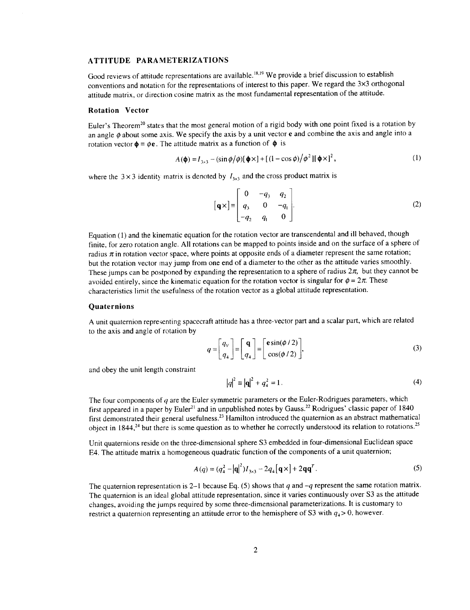# **ATTITUDE PARAMETERIZATIONS**

Good reviews of **attitude** representations are **available.18'19** We provide a brief discussion to establish conventions and notation for the representations of interest to this paper. We regard the 3x3 orthogonal attitude matrix, or direction cosine matrix as the most fundamental representation of the attitude.

#### **Rotation Vector**

Euler's Theorem<sup>20</sup> states that the most general motion of a rigid body with one point fixed is a rotation by an angle  $\phi$  about some axis. We specify the axis by a unit vector e and combine the axis and angle into a rotation vector  $\phi = \phi e$ . The attitude matrix as a function of  $\phi$  is

$$
A(\phi) = I_{\gamma \times 3} - (\sin \phi / \phi) [\phi \times ] + [(1 - \cos \phi) / \phi^2] [\phi \times ]^2,
$$
 (1)

where the  $3 \times 3$  identity matrix is denoted by  $I_{3\times 3}$  and the cross product matrix is

$$
\begin{bmatrix} \mathbf{q} \times \end{bmatrix} = \begin{bmatrix} 0 & -q_3 & q_2 \\ q_3 & 0 & -q_1 \\ -q_2 & q_1 & 0 \end{bmatrix} . \tag{2}
$$

Equation (1) and the kinematic equation for the rotation vector are transcendental and ill behaved, though finite, for zero rotation angle. All rotations can be mapped to points inside and on the surface of a sphere of radius  $\pi$  in rotation vector space, where points at opposite ends of a diameter represent the same rotation; but the rotation vector may jump from one end of a diameter to the other as the attitude varies smoothly. These jumps can be postponed by expanding the representation to a sphere of radius  $2\pi$ , but they cannot be avoided entirely, since the kinematic equation for the rotation vector is singular for  $\phi = 2\pi$ . These characteristics limit the usefulness of the rotation vector as a global attitude representation.

#### **Quaternions**

A unit quaternion representing spacecraft attitude has a three-vector part and a scalar part, which are related to the axis and angle of rotation by

$$
q = \begin{bmatrix} q_V \\ q_4 \end{bmatrix} = \begin{bmatrix} \mathbf{q} \\ q_4 \end{bmatrix} = \begin{bmatrix} \mathbf{e} \sin(\phi/2) \\ \cos(\phi/2) \end{bmatrix},
$$
 (3)

and obey the unit length constraint

$$
|q|^2 \equiv |\mathbf{q}|^2 + q_4^2 = 1.
$$
 (4)

The four components of *q* are the Euler symmetric parameters or the Euler-Rodrigues parameters, which first appeared in a paper by Euler<sup>21</sup> and in unpublished notes by Gauss.<sup>22</sup> Rodrigues' classic paper of 1840 first demonstrated their general usefulness.<sup>23</sup> Hamilton introduced the quaternion as an abstract mathematical object in  $1844<sup>24</sup>$  but there is some question as to whether he correctly understood its relation to rotations.<sup>25</sup>

Unit quaternions reside on the three-dimensional sphere \$3 embedded in four-dimensional Euclidean space E4. The attitude matrix a homogeneous quadratic function of the components of a unit quaternion;

$$
A(q) = (q_4^2 - |\mathbf{q}|^2) I_{3 \times 3} - 2q_4 [\mathbf{q} \times ] + 2\mathbf{q} \mathbf{q}^T.
$$
 (5)

The quaternion representation is 2-1 because Eq. (5) shows that  $q$  and  $-q$  represent the same rotation matrix. The quaternion is an ideal global attitude representation, since it varies continuously over \$3 as the attitude changes, avoiding the jumps required by some three-dimensional parameterizations. It is customary to restrict a quaternion representing an attitude error to the hemisphere of S3 with  $q_4$  > 0, however.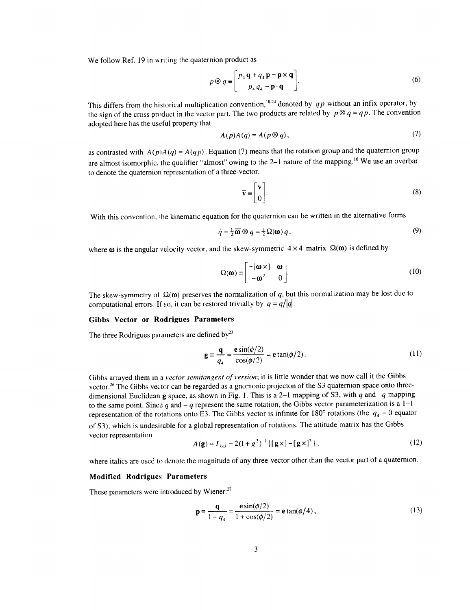We follow Ref. 19 in writing the quaternion product as

$$
p \otimes q \equiv \begin{bmatrix} p_4 \mathbf{q} + q_4 \mathbf{p} - \mathbf{p} \times \mathbf{q} \\ p_4 q_4 - \mathbf{p} \cdot \mathbf{q} \end{bmatrix} . \tag{6}
$$

This differs from the historical multiplication convention,<sup>18,24</sup> denoted by  $q p$  without an infix operator, by the sign of the cross product in the vector part. The two products are related by  $p \otimes q = qp$ . The convention adopted here has the useful property that

$$
A(p)A(q) = A(p \otimes q), \tag{7}
$$

as contrasted with  $A(p)A(q) = A(qp)$ . Equation (7) means that the rotation group and the quaternion group are almost isomorphic, the qualifier "almost" owing to the 2-1 nature of the mapping.<sup>16</sup> We use an overbar to denote the quaternion representation of a three-vector.

$$
\overline{\mathbf{v}} \equiv \begin{bmatrix} \mathbf{v} \\ \mathbf{0} \end{bmatrix} . \tag{8}
$$

With this convention, the kinematic equation for the quaternion can be written in the alternative forms

$$
\dot{q} = \frac{1}{2}\overline{\omega} \otimes q = \frac{1}{2}\Omega(\omega) q, \qquad (9)
$$

where  $\omega$  is the angular velocity vector, and the skew-symmetric  $4 \times 4$  matrix  $\Omega(\omega)$  is defined by

$$
\Omega(\mathbf{\omega}) \equiv \begin{bmatrix} -[\mathbf{\omega} \times] & \mathbf{\omega} \\ -\mathbf{\omega}^T & 0 \end{bmatrix} .
$$
 (10)

The skew-symmetry of  $\Omega(\omega)$  preserves the normalization of *q*, but this normalization may be lost due to computational errors. If so, it can be restored trivially by  $q = q/|q|$ .

#### **Gibbs Vector** or **Rodrigues Parameters**

The three Rodrigues parameters are defined by $^{23}$ 

$$
\mathbf{g} = \frac{\mathbf{q}}{q_4} = \frac{\mathbf{e}\sin(\phi/2)}{\cos(\phi/2)} = \mathbf{e}\tan(\phi/2). \tag{11}
$$

Gibbs arrayed them in a *vector semitangent of version;* it is little wonder that we now **call** it the Gibbs vector.<sup>26</sup> The Gibbs vector can be regarded as a gnomonic projecton of the S3 quaternion space onto threedimensional Euclidean g space, as shown in Fig. 1. This is a 2-1 mapping of \$3, with *q* and -q mapping to the same point. Since  $q$  and  $-q$  represent the same rotation, the Gibbs vector parameterization is a  $1-1$ representation of the rotations onto E3. The Gibbs vector is infinite for  $180^\circ$  rotations (the  $q_4 = 0$  equator of \$3), which is undesirable for a global representation of rotations. The attitude matrix has the Gibbs vector representation

$$
A(\mathbf{g}) = I_{3\times 3} - 2(1 + g^{2})^{-1} \{ [\mathbf{g} \times ] - [\mathbf{g} \times ]^{2} \},
$$
 (12)

where italics are used to denote the magnitude of any three-vector other than the vector part of a quaternion.

#### **Modified Rodrigues Parameters**

These parameters were introduced by Wiener:<sup>27</sup>

$$
\mathbf{p} \equiv \frac{\mathbf{q}}{1 + q_4} = \frac{\mathbf{e} \sin(\phi/2)}{1 + \cos(\phi/2)} = \mathbf{e} \tan(\phi/4),
$$
 (13)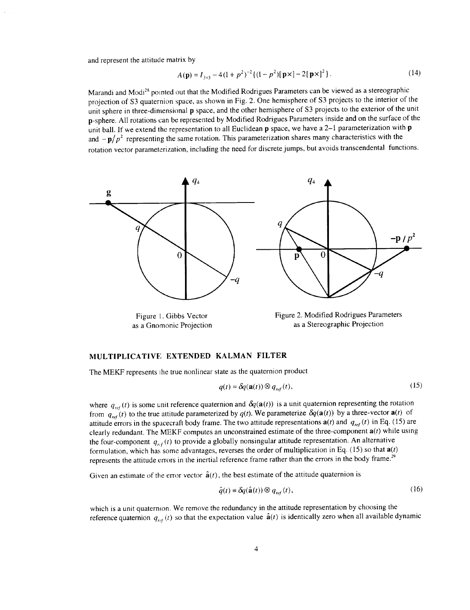and represent the attitude matrix by

$$
A(\mathbf{p}) = I_{3\times 3} - 4(1 + p^2)^{-2} \{ (1 - p^2) [\mathbf{p} \times ] - 2[\mathbf{p} \times ]^2 \}.
$$
 (14)

Marandi and Modi<sup>28</sup> pointed out that the Modified Rodrigues Parameters can be viewed as a stereographic projection of S3 quaternion space, as shown in Fig. 2. One hemisphere of S3 projects to the interior of the unit sphere in three-dimensional p space, and the other hemisphere of S3 projects to the exterior of the unit p-sphere. All rotations can be represented by Modified Rodrigues Parameters inside and on the surface of the unit ball. If we extend the representation to all Euclidean p space, we have a 2-1 parameterization with p and  $-p/p^2$  representing the same rotation. This parameterization shares many characteristics with the rotation vector parameterization, including the need for discrete jumps, but avoids transcendental functions.



Figure L. Gibbs Vector as a Gnomonic Projection

Figure 2. Modified Rodrigues Parameters as a Stereographic Projection

### **MULTIPLICATIVE EXTENDED KALMAN FILTER**

The MEKF represents the true nonlinear state as the quaternion product

$$
q(t) = \delta q(\mathbf{a}(t)) \otimes q_{ref}(t),
$$
\n(15)

where  $q_{ref}(t)$  is some unit reference quaternion and  $\delta q(\mathbf{a}(t))$  is a unit quaternion representing the rotation from  $q_{ref}(t)$  to the true attitude parameterized by  $q(t)$ . We parameterize  $\delta q(\mathbf{a}(t))$  by a three-vector  $\mathbf{a}(t)$  of attitude errors in the spacecraft body frame. The two attitude representations  $a(t)$  and  $q_{ref}(t)$  in Eq. (15) are clearly redundant. The MEKF computes an unconstrained estimate of the three-component  $a(t)$  while using the four-component  $q_{\text{ref}}(t)$  to provide a globally nonsingular attitude representation. An alternative formulation, which has some advantages, reverses the order of multiplication in Eq. (15) so that  $a(t)$ represents the attitude errors in the inertial reference frame rather than the errors in the body frame. *29*

Given an estimate of the error vector  $\hat{a}(t)$ , the best estimate of the attitude quaternion is

$$
\hat{q}(t) \equiv \delta q(\hat{\mathbf{a}}(t)) \otimes q_{ref}(t), \qquad (16)
$$

which is a unit quaternion. We remove the redundancy in the attitude representation by choosing the reference quaternion  $q_{ref}(t)$  so that the expectation value  $\hat{a}(t)$  is identically zero when all available dynamic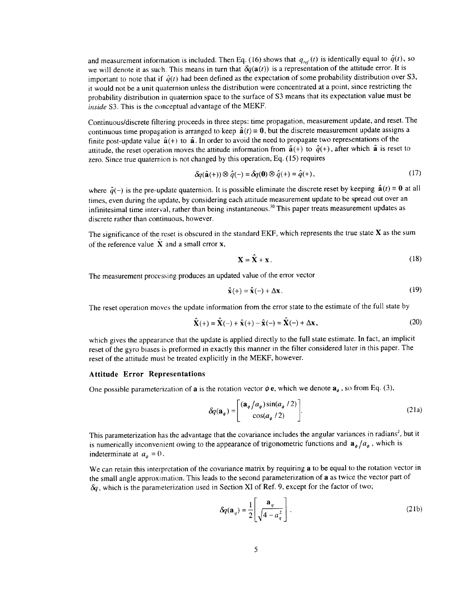and measurement information is included. Then Eq. (16) shows that  $q_{ref}(t)$  is identically equal to  $\hat{q}(t)$ , so we will denote it as such. This means in turn that  $\delta q(\mathbf{a}(t))$  is a representation of the attitude error. It is important to note that if  $\hat{q}(t)$  had been defined as the expectation of some probability distribution over S3, it would not be a unit quaternion unless the distribution were concentrated at a point, since restricting the probability distribution in quaternion space to the surface of S3 means that its expectation value must be *inside* \$3. This is the conceptual advantage of the MEKF.

Continuous/discrete filtering proceeds in three steps: time propagation, measurement update, and reset. The continuous time propagation is arranged to keep  $\hat{a}(t) = 0$ , but the discrete measurement update assigns a finite post-update value  $\hat{a}(+)$  to  $\hat{a}$ . In order to avoid the need to propagate two representations of the attitude, the reset operation moves the attitude information from  $\hat{a}(+)$  to  $\hat{q}(+)$ , after which  $\hat{a}$  is reset to zero. Since true quaternion is not changed by this operation, Eq. (15) requires

$$
\delta q(\hat{\mathbf{a}}(+) ) \otimes \hat{q}(-) = \delta q(0) \otimes \hat{q}(+) = \hat{q}(+), \qquad (17)
$$

where  $\hat{q}(-)$  is the pre-update quaternion. It is possible eliminate the discrete reset by keeping  $\hat{a}(t) = 0$  at all times, even during the update, by considering each attitude measurement update to be spread out over an infinitesimal time interval, rather than being instantaneous.<sup>30</sup> This paper treats measurement updates as discrete rather than continuous, however.

The significance of the reset is obscured in the standard EKF, which represents the true state  $X$  as the sum of the reference value X and a small error x,

$$
\mathbf{X} = \mathbf{X} + \mathbf{x} \,. \tag{18}
$$

The measurement processing produces an updated value of the error vector

$$
\hat{\mathbf{x}}(+) = \hat{\mathbf{x}}(-) + \Delta \mathbf{x}.
$$
 (19)

The reset operation moves the update information from the error state to the estimate of the full state by

$$
\hat{\mathbf{X}}(+) = \hat{\mathbf{X}}(-) + \hat{\mathbf{x}}(+) - \hat{\mathbf{x}}(-) = \hat{\mathbf{X}}(-) + \Delta \mathbf{x},\tag{20}
$$

which gives the appearance that the update is applied directly to the full state estimate. In fact, an implicit reset of the gyro biases is preformed in exactly this manner in the filter considered later in this paper. The reset of the attitude must be treated explicitly in the MEKF, however.

#### **Attitude Error Representations**

One possible parameterization of **a** is the rotation vector  $\phi$  **e**, which we denote  $\mathbf{a}_{\phi}$ , so from Eq. (3),

$$
\delta q(\mathbf{a}_{\phi}) = \begin{bmatrix} (\mathbf{a}_{\phi}/a_{\phi})\sin(a_{\phi}/2) \\ \cos(a_{\phi}/2) \end{bmatrix}.
$$
 (21a)

This parameterization has the advantage that the covariance includes the angular variances in radians<sup>2</sup>, but it is numerically inconvenient owing to the appearance of trigonometric functions and  $\mathbf{a}_{\phi}/a_{\phi}$ , which is indeterminate at  $a_{\phi} = 0$ .

We can retain this interpretation of the covariance matrix by requiring a to be equal to the rotation vector in the small angle approximation. This leads to the second parameterization of a as twice the vector part of *6q,* which is the parameterization used in Section XI of Ref. 9, except for the factor of two;

$$
\delta q(\mathbf{a}_q) = \frac{1}{2} \left[ \frac{\mathbf{a}_q}{\sqrt{4 - a_q^2}} \right].
$$
 (21b)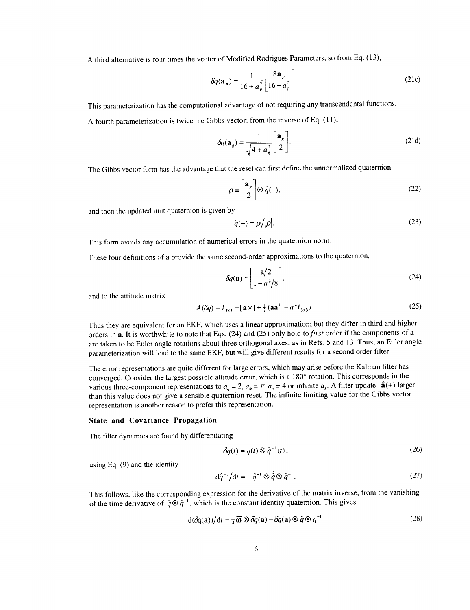A third alternative is four times the vector of Modified Rodrigues Parameters, so from Eq. (13),

$$
\delta q(\mathbf{a}_p) = \frac{1}{16 + a_p^2} \begin{bmatrix} 8\mathbf{a}_p \\ 16 - a_p^2 \end{bmatrix} .
$$
 (21c)

This parameterization has the computational advantage of not requiring any transcendental functions.

A fourth parameterization is twice the Gibbs vector; from the inverse of Eq. (11),

$$
\delta q(\mathbf{a}_g) = \frac{1}{\sqrt{4 + a_g^2}} \begin{bmatrix} \mathbf{a}_g \\ 2 \end{bmatrix}.
$$
 (21d)

The Gibbs vector form has the advantage that the reset can first define the unnormalized quaternion

$$
\rho \equiv \begin{bmatrix} \mathbf{a}_s \\ 2 \end{bmatrix} \otimes \hat{q}(-),\tag{22}
$$

and then the updated unit quaternion is given by

$$
\hat{q}(+) = \rho / |\rho|.
$$
 (23)

This form avoids any accumulation of numerical errors in the quaternion norm.

These four definitions of a provide the same second-order approximations to the quaternion,

$$
\delta q(\mathbf{a}) \approx \begin{bmatrix} \mathbf{a}/2 \\ 1 - a^2/8 \end{bmatrix},\tag{24}
$$

and to the attitude matrix

$$
A(\delta q) = I_{3 \times 3} - [\mathbf{a} \times ] + \frac{1}{2} (\mathbf{a} \mathbf{a}^T - a^2 I_{3 \times 3}). \tag{25}
$$

Thus they are equivalent for an EKF, which uses a linear approximation; but they differ in third and higher orders in a. It is worthwhile to note that Eqs. (24) and (25) only hold to *first* order if the components of a are taken to be Euler angle rotations about three orthogonal axes, as in Refs. 5 and 13. Thus, an Euler angle parameterization will lead to the same EKF, but will give different results for a second order filter.

The error representations are quite different for large errors, which may arise before the Kalman filter has converged. Consider the largest possible attitude error, which is a 180° rotation. This corresponds in the various three-component representations to  $a_q = 2$ ,  $a_\phi = \pi$ ,  $a_p = 4$  or infinite  $a_g$ . A filter update  $\hat{\mathbf{a}}(+)$  larger than this value does not give a sensible quaternion reset. The infinite limiting value for the Gibbs vector representation is another reason to prefer this representation.

### State and Covarianee Propagation

The filter dynamics are found by differentiating

$$
\delta q(t) = q(t) \otimes \hat{q}^{-1}(t), \qquad (26)
$$

using Eq. (9) and the identity

$$
\mathrm{d}\hat{q}^{-1}\big/\mathrm{d}t = -\hat{q}^{-1}\otimes\hat{q}\otimes\hat{q}^{-1}.\tag{27}
$$

This follows, like the corresponding expression for the derivative of the matrix inverse, from the vanishing of the time derivative of  $\hat{q} \otimes \hat{q}^{-1}$ , which is the constant identity quaternion. This gives

$$
d(\delta q(\mathbf{a}))/dt = \frac{1}{2}\overline{\mathbf{\omega}} \otimes \delta q(\mathbf{a}) - \delta q(\mathbf{a}) \otimes \hat{q} \otimes \hat{q}^{-1}.
$$
 (28)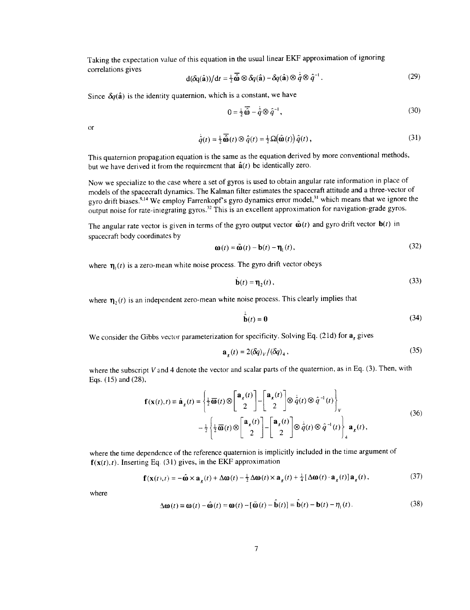**Taking** the expectation wdue of this equation in the usual **linear** EKF approximation of ignoring correlations **gives**

$$
d(\delta q(\hat{\mathbf{a}}))/dt = \frac{1}{2}\overline{\hat{\mathbf{w}}}\otimes \delta q(\hat{\mathbf{a}}) - \delta q(\hat{\mathbf{a}})\otimes \hat{q}\otimes \hat{q}^{-1}.
$$
 (29)

Since  $\delta q(\hat{a})$  is the identity quaternion, which is a constant, we have

$$
0 = \frac{1}{2}\overline{\hat{\omega}} - \dot{\hat{q}} \otimes \hat{q}^{-1},\tag{30}
$$

or

$$
\dot{\hat{q}}(t) = \frac{1}{2}\overline{\hat{\mathbf{\omega}}}(t) \otimes \hat{q}(t) = \frac{1}{2}\Omega(\hat{\mathbf{\omega}}(t))\hat{q}(t),
$$
\n(31)

This quaternion **propagation** equation is the same as the equation derived by more conventional **methods,** but we have derived it from the requirement that  $\hat{a}(t)$  be identically zero.

Now we specialize to the case where a set of gyros is used to obtain angular rate information in place of models of the spacecraft dynamics. The Kalman filter estimates the spacecraft attitude and a three-vector of gyro drift biases.<sup>9,14</sup> We employ Farrenkopf's gyro dynamics error model,<sup>31</sup> which means that we ignore the output noise for rate-inlegraling gyros.<sup>32</sup> This is an excellent approximation for navigation-grade gyros.

The angular rate vector is given in terms of the gyro output vector  $\tilde{\mathbf{\omega}}(t)$  and gyro drift vector  $\mathbf{b}(t)$  in spacecraft body coordinates by

$$
\mathbf{\omega}(t) = \tilde{\mathbf{\omega}}(t) - \mathbf{b}(t) - \mathbf{\eta}_1(t),\tag{32}
$$

where  $\mathbf{\eta}_{1}(t)$  is a zero-mean white noise process. The gyro drift vector obeys

$$
\mathbf{b}(t) = \mathbf{\eta}_2(t),\tag{33}
$$

where  $\mathbf{\eta}_2(t)$  is an independent zero-mean white noise process. This clearly implies that

$$
\hat{\mathbf{b}}(t) = \mathbf{0} \tag{34}
$$

We consider the Gibbs vector parameterization for specificity. Solving Eq. (21d) for  $a<sub>r</sub>$  gives

$$
\mathbf{a}_{\mathbf{x}}(t) = 2(\delta q)_{\mathbf{y}} / (\delta q)_{4},\tag{35}
$$

where the subscript *V* and 4 denote the vector and scalar parts of the quaternion, as in Eq. (3). Then, with Eqs. (15) and (28),

$$
\mathbf{f}(\mathbf{x}(t),t) \equiv \dot{\mathbf{a}}_g(t) = \left\{ \frac{1}{2} \overline{\mathbf{\omega}}(t) \otimes \begin{bmatrix} \mathbf{a}_g(t) \\ 2 \end{bmatrix} - \begin{bmatrix} \mathbf{a}_g(t) \\ 2 \end{bmatrix} \otimes \dot{\hat{q}}(t) \otimes \hat{q}^{-1}(t) \right\}_V
$$
\n
$$
- \frac{1}{2} \left\{ \frac{1}{2} \overline{\mathbf{\omega}}(t) \otimes \begin{bmatrix} \mathbf{a}_g(t) \\ 2 \end{bmatrix} - \begin{bmatrix} \mathbf{a}_g(t) \\ 2 \end{bmatrix} \otimes \dot{\hat{q}}(t) \otimes \hat{q}^{-1}(t) \right\}_4 \mathbf{a}_g(t),
$$
\n(36)

where the time dependence of the reference quaternion is implicitly included in the time argument of  $f(x(t), t)$ . Inserting Eq. (31) gives, in the EKF approximation

$$
\mathbf{f}(\mathbf{x}(t),t) = -\hat{\mathbf{\omega}} \times \mathbf{a}_g(t) + \Delta \mathbf{\omega}(t) - \frac{1}{2} \Delta \mathbf{\omega}(t) \times \mathbf{a}_g(t) + \frac{1}{4} [\Delta \mathbf{\omega}(t) \cdot \mathbf{a}_g(t)] \mathbf{a}_g(t),
$$
(37)

where

$$
\Delta \omega(t) \equiv \omega(t) - \hat{\omega}(t) = \omega(t) - [\tilde{\omega}(t) - \hat{b}(t)] = \dot{b}(t) - b(t) - \eta_i(t). \tag{38}
$$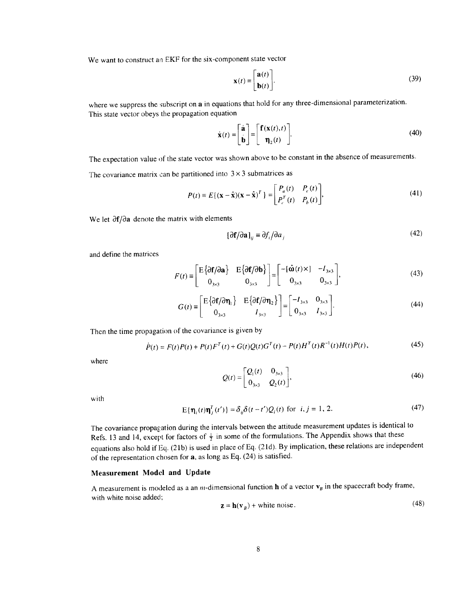We want to construct an EKF for the six-component state vector

$$
\mathbf{x}(t) \equiv \begin{bmatrix} \mathbf{a}(t) \\ \mathbf{b}(t) \end{bmatrix} . \tag{39}
$$

where we suppress the subscript on  $a$  in equations that hold for any three-dimensional parameterization. *This* state vector obeys **the** propagation equation

$$
\dot{\mathbf{x}}(t) = \begin{bmatrix} \dot{\mathbf{a}} \\ \dot{\mathbf{b}} \end{bmatrix} = \begin{bmatrix} \mathbf{f}(\mathbf{x}(t), t) \\ \mathbf{\eta}_2(t) \end{bmatrix}.
$$
 (40)

The expectation value of the state vector was shown above to be constant in the absence of measurements.

The covariance matrix can be partitioned into  $3 \times 3$  submatrices as

$$
P(t) \equiv E\{(\mathbf{x} - \hat{\mathbf{x}})(\mathbf{x} - \hat{\mathbf{x}})^T\} = \begin{bmatrix} P_a(t) & P_c(t) \\ P_c^T(t) & P_b(t) \end{bmatrix},
$$
(41)

We let  $\partial f/\partial a$  denote the matrix with elements

$$
[\partial \mathbf{f}/\partial \mathbf{a}]_{ij} \equiv \partial f_i/\partial a_j \tag{42}
$$

and define the matrices

$$
F(t) \equiv \begin{bmatrix} E\{\partial \mathbf{f}/\partial \mathbf{a}\} & E\{\partial \mathbf{f}/\partial \mathbf{b}\} \\ 0_{3\times 3} & 0_{3\times 3} \end{bmatrix} = \begin{bmatrix} -[\hat{\mathbf{\omega}}(t) \times ] & -I_{3\times 3} \\ 0_{3\times 3} & 0_{3\times 3} \end{bmatrix},
$$
(43)

$$
G(t) \equiv \begin{bmatrix} \mathbf{E} \left\{ \partial \mathbf{f} / \partial \mathbf{\eta}_1 \right\} & \mathbf{E} \left\{ \partial \mathbf{f} / \partial \mathbf{\eta}_2 \right\} \\ 0_{3 \times 3} & I_{3 \times 3} \end{bmatrix} = \begin{bmatrix} -I_{3 \times 3} & 0_{3 \times 3} \\ 0_{3 \times 3} & I_{3 \times 3} \end{bmatrix} . \tag{44}
$$

Then the time propagation of the covariance is given by

$$
\dot{P}(t) = F(t)P(t) + P(t)F^{T}(t) + G(t)Q(t)G^{T}(t) - P(t)H^{T}(t)R^{-1}(t)H(t)P(t),
$$
\n(45)

$$
Q(t) = \begin{bmatrix} Q_1(t) & 0_{3 \times 3} \\ 0_{3 \times 3} & Q_2(t) \end{bmatrix},
$$
 (46)

with

$$
E{\eta_i(t)\eta_j^T(t')} = \delta_{ij}\delta(t-t')Q_i(t) \text{ for } i, j = 1, 2. \tag{47}
$$

The covariance propagation during the intervals between the attitude measurement updates is identical to Refs. 13 and 14, except for factors of  $\frac{1}{2}$  in some of the formulations. The Appendix shows that these equations also hold if Eq. (2 lb) is used in place of Eq. (21d). By implication, these relations are independent of the representation chosen for a, as long as Eq. (24) is satisfied.

### Measurement **Model** and Update

A measurement is modeled as a an *m*-dimensional function **h** of a vector  $v_B$  in the spacecraft body frame, with white noise added;  $(18)$ 

$$
\mathbf{z} = \mathbf{h}(\mathbf{v}_B) + \text{white noise.} \tag{48}
$$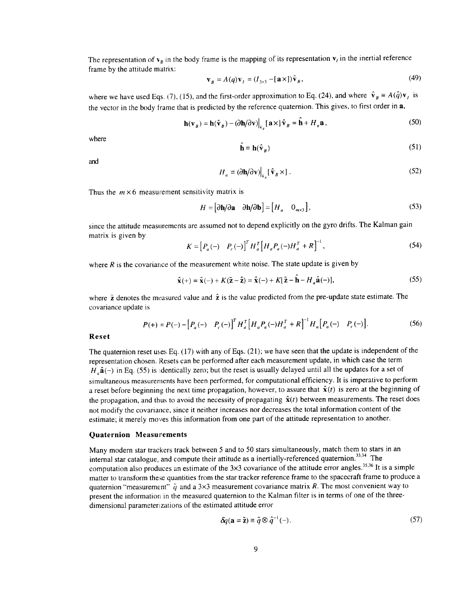The representation of  $v_g$  in the body frame is the mapping of its representation  $v_i$  in the inertial reference frame by the attitude matrix:

$$
\mathbf{v}_B = A(q)\mathbf{v}_t = (I_{3\times 3} - [\mathbf{a} \times])\hat{\mathbf{v}}_B,\tag{49}
$$

where we have used Eqs. (7), (15), and the first-order approximation to Eq. (24), and where  $\hat{v}_B = A(\hat{q})v_t$  is the vector in the body frame that is predicted by the reference quaternion. This gives, to first order in a,

$$
\mathbf{h}(\mathbf{v}_B) = \mathbf{h}(\hat{\mathbf{v}}_B) - (\partial \mathbf{h}/\partial \mathbf{v})\big|_{\hat{\mathbf{v}}_B} [\mathbf{a} \times] \hat{\mathbf{v}}_B = \hat{\mathbf{h}} + H_a \mathbf{a},\tag{50}
$$

where

$$
\hat{\mathbf{h}} \equiv \mathbf{h}(\hat{\mathbf{v}}_R) \tag{51}
$$

and

$$
H_a \equiv (\partial \mathbf{h}/\partial \mathbf{v}) \Big|_{\hat{\mathbf{v}}_B} [\hat{\mathbf{v}}_B \times] \ . \tag{52}
$$

Thus the  $m \times 6$  measurement sensitivity matrix is

$$
H = [\partial \mathbf{h}/\partial \mathbf{a} \quad \partial \mathbf{h}/\partial \mathbf{b}] = [H_a \quad 0_{m \times 3}], \tag{53}
$$

since the attitude measurements are assumed not to depend explicitly on the gyro drifts. The Kalman gain matrix is given by

$$
K = [P_a(-) \quad P_c(-)]^T H_a^T [H_a P_a(-) H_a^T + R]^{-1}, \tag{54}
$$

where *R* is the covariance of the measurement white noise. The state update is given by

$$
\hat{\mathbf{x}}(+) = \hat{\mathbf{x}}(-) + K(\tilde{\mathbf{z}} - \hat{\mathbf{z}}) = \hat{\mathbf{x}}(-) + K[\tilde{\mathbf{z}} - \hat{\mathbf{h}} - H_a \hat{\mathbf{a}}(-)],
$$
\n(55)

where  $\tilde{z}$  denotes the measured value and  $\hat{z}$  is the value predicted from the pre-update state estimate. The covariance update is

$$
P(+) = P(-) - [P_a(-) \quad P_c(-)]^T H_a^T [H_a P_a(-) H_a^T + R]^{-1} H_a [P_a(-) \quad P_c(-)].
$$
\n(56)

**Reset**

The quaternion reset uses Eq. (17) with any of Eqs. (21); we have seen that the update is independent of the representation chosen. Resets can be performed after each measurement update, in which case the term  $H_a\hat{\mathbf{a}}(-)$  in Eq. (55) is identically zero; but the reset is usually delayed until all the updates for a set of simultaneous measurements have been performed, for computational efficiency. It is imperative to perform a reset before beginning the next time propagation, however, to assure that  $\hat{x}(t)$  is zero at the beginning of the propagation, and thus to avoid the necessity of propagating  $\hat{\mathbf{x}}(t)$  between measurements. The reset does not modify the covariance, since it neither increases nor decreases the total information content of the estimate; it merely moves this information from one part of the attitude representation to another.

#### **Quaternion Measurements**

Many modern star trackers track between 5 and to 50 stars simultaneously, match them to stars in an internal star catalogue, and compute their attitude as a inertially-referenced quaternion.<sup>33,34</sup> The computation also produces an estimate of the  $3\times3$  covariance of the attitude error angles.<sup>35,36</sup> It is a simple matter to transform these quantities from the star tracker reference frame to the spacecraft frame to produce a quaternion "measurement"  $\hat{q}$  and a 3×3 measurement covariance matrix *R*. The most convenient way to present the information in the measured quaternion to the Kalman filter is in terms of one of the threedimensional parameterizations of the estimated attitude error

$$
\delta q(\mathbf{a} = \tilde{\mathbf{z}}) \equiv \tilde{q} \otimes \hat{q}^{-1}(-). \tag{57}
$$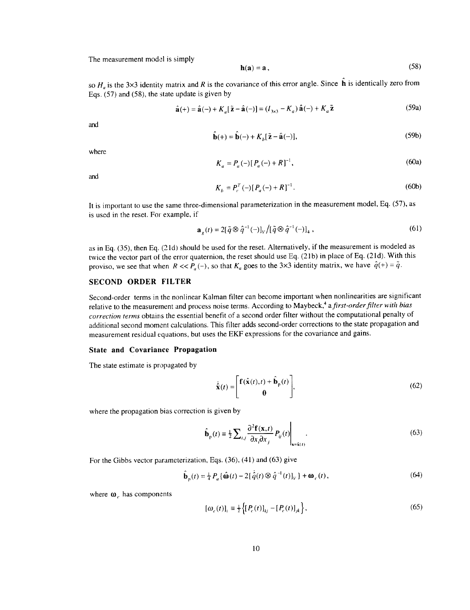The measurement model is simply

$$
\mathbf{h}(\mathbf{a}) = \mathbf{a} \tag{58}
$$

so  $H_a$  is the 3×3 identity matrix and *R* is the covariance of this error angle. Since  $\hat{\bf h}$  is identically zero from Eqs. (57) and (58), the state update is given by

$$
\hat{\mathbf{a}}(+) = \hat{\mathbf{a}}(-) + K_a [\tilde{\mathbf{z}} - \hat{\mathbf{a}}(-)] = (I_{3 \times 3} - K_a) \hat{\mathbf{a}}(-) + K_a \tilde{\mathbf{z}}
$$
(59a)

and

$$
\hat{\mathbf{b}}(+) = \hat{\mathbf{b}}(-) + K_b[\tilde{\mathbf{z}} - \hat{\mathbf{a}}(-)],\tag{59b}
$$

where

$$
K_a = P_a(-)[P_a(-) + R]^{-1}, \tag{60a}
$$

and

$$
K_b = P_c^T (-)[P_a(-) + R]^{-1}.
$$
 (60b)

It is important to use the same three-dimensional parameterization in the measurement model, Eq. (57), as is used in the reset. For example, if

$$
\mathbf{a}_{\mathbf{z}}(t) = 2[\tilde{q} \otimes \hat{q}^{-1}(-)]_{V} / [\tilde{q} \otimes \hat{q}^{-1}(-)]_{4}, \qquad (61)
$$

as in Eq. (35), then Eq. (2 ld) should be used for the reset. Alternatively, if the measurement is modeled as twice the vector part of the error quaternion, the reset should use Eq. (21b) in place of Eq. (21d). With this proviso, we see that when  $R \ll P_a(-)$ , so that  $K_a$  goes to the 3×3 identity matrix, we have  $\hat{q}(+) = \tilde{q}$ .

# **SECOND ORDER FILTER**

**Second-order terms in the nonlinear** Kalman **filter can** become **important** when **nonlinearities are significant** relative **to the measurement and** process **noise terms. According to Maybeck,** 4 **afirst-orderfilter** *with bias correction terms* **obtains** the **essential** benefit **of a second order filter** without **the computational penalty of additional** second moment **calculations.** This **filter adds** second-order **corrections to the state propagation and measurement** residual equations, but **uses the EKF expressions for the covariance and gains.**

### **State and Covariance Propagation**

The state estimate is propagated by

$$
\dot{\hat{\mathbf{x}}}(t) = \begin{bmatrix} \mathbf{f}(\hat{\mathbf{x}}(t), t) + \hat{\mathbf{b}}_{\mathbf{p}}(t) \\ \mathbf{0} \end{bmatrix},\tag{62}
$$

where the propagation bias correction is given by

$$
\hat{\mathbf{b}}_{p}(t) \equiv \frac{1}{2} \sum_{i,j} \frac{\partial^{2} \mathbf{f}(\mathbf{x},t)}{\partial x_{i} \partial x_{j}} P_{ij}(t) \Big|_{\mathbf{x} = \hat{\mathbf{x}}(t)}.
$$
\n(63)

For the Gibbs vector parameterization, Eqs. (36), (41) and (63) give

$$
\hat{\mathbf{b}}_{\mathbf{p}}(t) = \frac{1}{4} P_a \{ \hat{\mathbf{\omega}}(t) - 2[\hat{q}(t) \otimes \hat{q}^{-1}(t)]_V \} + \mathbf{\omega}_c(t),
$$
\n(64)

where  $\omega<sub>c</sub>$  has components

$$
[\omega_c(t)]_i \equiv \frac{1}{2} \left\{ [P_c(t)]_{kj} - [P_c(t)]_{jk} \right\},\tag{65}
$$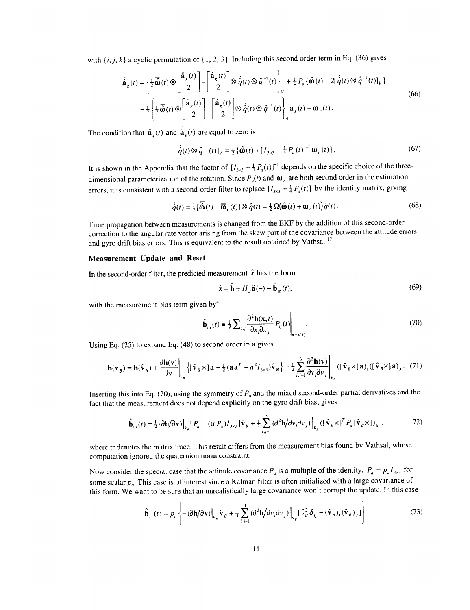with  $\{i, j, k\}$  a cyclic permutation of  $\{1, 2, 3\}$ . Including this second order term in Eq. (36) gives

$$
\dot{\hat{\mathbf{a}}}_{g}(t) = \left\{ \frac{1}{2} \overrightarrow{\hat{\mathbf{\omega}}}(t) \otimes \begin{bmatrix} \hat{\mathbf{a}}_{g}(t) \\ 2 \end{bmatrix} - \begin{bmatrix} \hat{\mathbf{a}}_{g}(t) \\ 2 \end{bmatrix} \otimes \dot{\hat{q}}(t) \otimes \hat{q}^{-1}(t) \right\}_{V} + \frac{1}{4} P_{a} \{ \hat{\mathbf{\omega}}(t) - 2[\dot{\hat{q}}(t) \otimes \hat{q}^{-1}(t)]_{V} \} - \frac{1}{2} \left\{ \frac{1}{2} \overrightarrow{\hat{\mathbf{\omega}}}(t) \otimes \begin{bmatrix} \hat{\mathbf{a}}_{g}(t) \\ 2 \end{bmatrix} - \begin{bmatrix} \hat{\mathbf{a}}_{g}(t) \\ 2 \end{bmatrix} - \begin{bmatrix} \hat{\mathbf{a}}_{g}(t) \\ 2 \end{bmatrix} \otimes \dot{\hat{q}}(t) \otimes \hat{q}^{-1}(t) \right\}_{4} \mathbf{a}_{g}(t) + \mathbf{\omega}_{c}(t).
$$
\n(66)

The condition that  $\hat{\mathbf{a}}_r(t)$  and  $\hat{\mathbf{a}}_s(t)$  are equal to zero is

$$
[\dot{\hat{q}}(t) \otimes \hat{q}^{-1}(t)]_v = \frac{1}{2} {\hat{\omega}(t) + [I_{3\times 3} + \frac{1}{4} P_a(t)]^{-1} \omega_c(t)},
$$
\n(67)

It is shown in the Appendix that the factor of  $[I_{3\times 3} + \frac{1}{4}P_a(t)]^{-1}$  depends on the specific choice of the threedimensional parameterization of the rotation. Since  $P_a(t)$  and  $\omega_c$ , are both second order in the estimation errors, it is consistent with a second-order filter to replace  $[I_{3\times 3} + \frac{1}{4}P_a(t)]$  by the identity matrix, giving

$$
\dot{\hat{q}}(t) = \frac{1}{2} [\overline{\hat{\omega}}(t) + \overline{\hat{\omega}}_c(t)] \otimes \hat{q}(t) = \frac{1}{2} \Omega(\hat{\omega}(t) + \hat{\omega}_c(t)) \hat{q}(t).
$$
\n(68)

Time propagation between measurements is changed from the EKF by the addition of this second-order correction to the angular rate vector arising from the skew part of the covariance between the attitude errors and gyro drift bias errors. This is equivalent to the result obtained by Vathsal.<sup>17</sup>

### **Measurement Update and Reset**

**In** the second-order filter, **the predicted measurement** \_ has **the form**

$$
\hat{\mathbf{z}} = \hat{\mathbf{h}} + H_a \hat{\mathbf{a}}(-) + \hat{\mathbf{b}}_{m}(t),
$$
 (69)

with the measurement bias term given by $4$ 

$$
\hat{\mathbf{b}}_{m}(t) \equiv \frac{1}{2} \sum_{i,j} \frac{\partial^{2} \mathbf{h}(\mathbf{x},t)}{\partial x_{i} \partial x_{j}} P_{ij}(t) \Big|_{\mathbf{x} = \hat{\mathbf{x}}(t)}.
$$
\n(70)

Using Eq. (25) to expand Eq. (48) to second order in a gives

$$
\mathbf{h}(\mathbf{v}_B) = \mathbf{h}(\hat{\mathbf{v}}_B) + \frac{\partial \mathbf{h}(\mathbf{v})}{\partial \mathbf{v}} \bigg|_{\hat{\mathbf{v}}_B} \left\{ \left[ \hat{\mathbf{v}}_B \times \right] \mathbf{a} + \frac{1}{2} (\mathbf{a} \mathbf{a}^T - a^2 I_{3 \times 3}) \hat{\mathbf{v}}_B \right\} + \frac{1}{2} \sum_{i,j=1}^3 \frac{\partial^2 \mathbf{h}(\mathbf{v})}{\partial v_i \partial v_j} \bigg|_{\hat{\mathbf{v}}_B} \left( \left[ \hat{\mathbf{v}}_B \times \right] \mathbf{a} \right)_i \left( \left[ \hat{\mathbf{v}}_B \times \right] \mathbf{a} \right)_j. (71)
$$

Inserting this into Eq. (70), using the symmetry of *P.* and the mixed second-order partial derivatives and the fact that the measurement does not depend explicitly on the gyro drift bias, gives

$$
\hat{\mathbf{b}}_{m}(t) = \frac{1}{2} \left( \partial \mathbf{h} / \partial \mathbf{v} \right) \Big|_{\hat{\mathbf{v}}_{B}} \left[ P_{a} - (\text{tr } P_{a}) I_{3 \times 3} \right] \hat{\mathbf{v}}_{B} + \frac{1}{2} \sum_{i,j=1}^{3} \left( \partial^{2} \mathbf{h} / \partial v_{i} \partial v_{j} \right) \Big|_{\hat{\mathbf{v}}_{B}} \left( \left[ \hat{\mathbf{v}}_{B} \times \right]^{T} P_{a} \left[ \hat{\mathbf{v}}_{B} \times \right] \right)_{ij}, \tag{72}
$$

where tr denotes the matrix trace. This result differs from the measurement bias found by Vathsal, whose computation ignored **the** quaternion norm constraint.

Now consider the special case that the attitude covariance  $P_a$  is a multiple of the identity,  $P_a = p_a I_{3\times 3}$  for some scalar  $p_a$ . This case is of interest since a Kalman filter is often initialized with a large covariance of this form. We want to be sure that an unrealistically large covariance won't corrupt the update. In this case

$$
\hat{\mathbf{b}}_{m}(t) = p_{a} \left\{ -(\partial \mathbf{h}/\partial \mathbf{v}) \Big|_{\hat{\mathbf{v}}_{B}} \hat{\mathbf{v}}_{B} + \frac{1}{2} \sum_{i,j=1}^{3} (\partial^{2} \mathbf{h}/\partial v_{i} \partial v_{j}) \Big|_{\hat{\mathbf{v}}_{B}} [\hat{v}_{B}^{2} \delta_{ij} - (\hat{\mathbf{v}}_{B})_{i} (\hat{\mathbf{v}}_{B})_{j}] \right\}.
$$
 (73)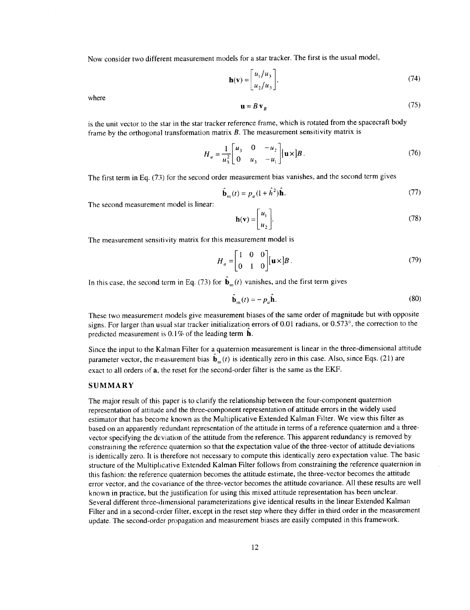Now consider two different measurement models for a star tracker. The first is the usual model,

$$
\mathbf{h}(\mathbf{v}) = \begin{bmatrix} u_1/u_3 \\ u_2/u_3 \end{bmatrix},\tag{74}
$$

where

$$
\mathbf{u} = B \, \mathbf{v}_B \tag{75}
$$

is the unit vector to the star in the star tracker reference frame, which is rotated from the spacecraft body frame by the orthogonal transformation matrix *B.* The measurement sensitivity matrix is

$$
H_{a} = \frac{1}{u_{3}^{2}} \begin{bmatrix} u_{3} & 0 & -u_{2} \\ 0 & u_{3} & -u_{1} \end{bmatrix} [\mathbf{u} \times] B. \tag{76}
$$

The first term in Eq. (73) for the second order measurement bias vanishes, and the second term gives

$$
\hat{\mathbf{b}}_{m}(t) = p_a (1 + \hat{h}^2) \hat{\mathbf{h}}.\tag{77}
$$

The second measurement model is linear:

$$
\mathbf{h}(\mathbf{v}) = \begin{bmatrix} u_1 \\ u_2 \end{bmatrix} . \tag{78}
$$

The measurement sensitivity matrix for this measurement model is

$$
H_a = \begin{bmatrix} 1 & 0 & 0 \\ 0 & 1 & 0 \end{bmatrix} \begin{bmatrix} \mathbf{u} \times \mathbf{b} \end{bmatrix} \tag{79}
$$

In this case, the second term in Eq. (73) for  $\hat{\mathbf{b}}_{m}(t)$  vanishes, and the first term gives

$$
\hat{\mathbf{b}}_{m}(t) = -p_{a}\hat{\mathbf{h}}.\tag{80}
$$

These two measurement models give measurement biases of the same order of magnitude but with opposite signs. For larger than usual star tracker initialization errors of 0.01 radians, or 0.573°, the correction to the predicted measurement is 0.1% of the leading term h.

Since the input to the Kalman Filter for aquaternion measurement is linear in the three-dimensional attitude parameter vector, the measurement bias  $\mathbf{b}_{m}(t)$  is identically zero in this case. Also, since Eqs. (21) are exact to all orders of a, the reset for the second-order filter is the same as the EKF.

### **SUMMARY**

The major result of this paper is to clarify the relationship between the four-component quaternion representation of attitude and the three-component representation of attitude errors in the widely used estimator that has become known as the Multiplicative Extended Kalman Filter. We view this filter as based on an apparently redundant representation of the attitude in terms of a reference quaternion and a threevector specifying the deviation of the attitude from the reference. This apparent redundancy is removed by constraining the reference quaternion so that the expectation value of the three-vector of attitude deviations is identically zero. It is therefore not necessary to compute this identically zero expectation value. The basic structure of the Multiplicative Extended Kalman Filter follows from constraining the reference quaternion in this fashion: the reference quaternion becomes the attitude estimate, the three-vector becomes the attitude error vector, and the covariance of the three-vector becomes the attitude covariance. All these results are well known in practice, but the justification for using this mixed attitude representation has been unclear. Several different three-dimensional parameterizations give identical results in the linear Extended Kalman Filter and in a second-order filter, except in the reset step where they differ in third order in the measurement update. The second-order propagation and measurement biases are easily computed in this framework.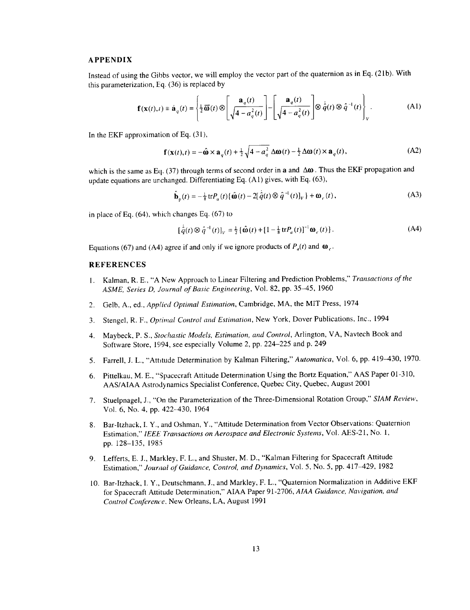## **APPENDIX**

Instead of using the Gibbs vector, we will employ the vector part of the quaternion as in Eq. (21b). With this parameterization, Eq.  $(36)$  is replaced by

$$
\mathbf{f}(\mathbf{x}(t),t) \equiv \dot{\mathbf{a}}_q(t) = \left\{ \frac{1}{2}\overline{\mathbf{\omega}}(t) \otimes \left[ \frac{\mathbf{a}_q(t)}{\sqrt{4 - a_q^2(t)}} \right] - \left[ \frac{\mathbf{a}_q(t)}{\sqrt{4 - a_q^2(t)}} \right] \otimes \dot{\hat{q}}(t) \otimes \hat{q}^{-1}(t) \right\}_V.
$$
 (A1)

In the EKF approximation of Eq.  $(31)$ ,

$$
\mathbf{f}(\mathbf{x}(t),t) = -\hat{\mathbf{\omega}} \times \mathbf{a}_q(t) + \frac{1}{2} \sqrt{4 - a_q^2} \Delta \mathbf{\omega}(t) - \frac{1}{2} \Delta \mathbf{\omega}(t) \times \mathbf{a}_q(t),
$$
 (A2)

which is the same as Eq. (37) through terms of second order in a and  $\Delta\omega$ . Thus the EKF propagation and update equations are unchanged. Differentiating Eq.  $(A1)$  gives, with Eq. (63),

$$
\hat{\mathbf{b}}_{p}(t) = -\frac{1}{8} \operatorname{tr} P_{a}(t) \{ \hat{\mathbf{\omega}}(t) - 2[\hat{\dot{q}}(t) \otimes \hat{q}^{-1}(t)]_{V} \} + \mathbf{\omega}_{c}(t), \tag{A3}
$$

in place of Eq. (64), which changes Eq. (67) to

$$
\left[\hat{q}(t)\otimes\hat{q}^{-1}(t)\right]_V = \frac{1}{2}\left\{\hat{\mathbf{\omega}}(t) + \left[1 - \frac{1}{8}\text{tr}P_q(t)\right]^{-1}\mathbf{\omega}_c(t)\right\}.
$$
 (A4)

Equations (67) and (A4) agree if and only if we ignore products of  $P_a(t)$  and  $\omega_c$ .

#### REFERENCES

- 1. Kalman, R. E., "A New Approach to Linear Filtering and Prediction Problems," *Transactions of the ASME, Series D, Journal of Basic Engineering,* Vol. 82, pp. 35--45, 1960
- 2. Gelb, A., ed., *Applied Optimal Estimation,* Cambridge, MA, the MIT Press, 1974
- 3. Stengel, R. F., *Optimal Control and Estimation,* New York, Dover Publications, Inc., 1994
- 4. Maybeck, P. S., *Stochastic Models, Estimation, and Control,* Arlington, VA, Navtech Book and Software Store, 1994, see especially Volume 2, pp. 224-225 and p. 249
- 5. Farrell, J. L., "Attitude Determination by Kalman Filtering," *Automatica,* Vol. 6, pp. 419-430, 1970.
- 6. Pittelkau, M. E., "Spacecraft Attitude Determination Using the Bortz Equation," AAS Paper 01-310, AAS/AIAA Astrodynamics Specialist Conference, Quebec City, Quebec, August 2001
- 7. Stuelpnagel, J., "On the Parameterization of the Three-Dimensional Rotation Group," *SIAM Review,* Vol. 6, No. 4, pp. 422-430, 1964
- 8. Bar-Itzhack, I. Y., and Oshman, Y., "Attitude Determination from Vector Observations: Quaternion Estimation," *IEEE Tralzsactions on Aerospace and Electronic Systems,* Vol. AES-21, No. 1, pp. 128-135, 1985
- 9. Lefferts, E. J., Markley, F. L., and Shuster, M. D., "Kalman Filtering for Spacecraft Attitude Estimation," *Jourtzal of Guidance, Control, and Dynamics,* Vol. 5, No. 5, pp. 417-429, 1982
- 10. Bar-Itzhack, I. Y., Deutschmann, J., and Markley, F. L., "Quaternion Normalization in Additive EKF for Spacecraft Attitude Determination," AIAA Paper 91-2706, *AIAA Guidance, Navigation, and Control Conference.* New Orleans, LA, August 1991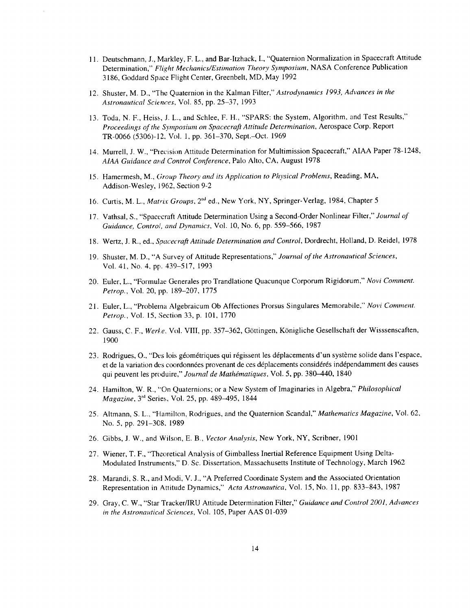- 11. Deutschmann, J., Markley, F. L., and Bar-Itzhack, I., "Quaternion Normalization in Spacecraft Attitude Determination," *Flight Mechanics/Estimation Theory Symposium,* NASA Conference Publication 3186, Goddard Space Flight Center, Greenbelt, MD, May 1992
- 12. Shuster, M. D., "The Quaternion in the Kalman Filter," Astrodynamics 1993, Advances in the *Astronautical Sciences,* Vol. 85, pp. 25-37, 1993
- 13. Toda, N. F., Heiss, J. L., and Schlee, F. H., "SPARS: the System, Algorithm, and Test Results," *Proceedings of the Symposium on Spacecraft Attitude Determination,* Aerospace Corp. Report TR-0066 (5306)-12, Vol. 1, pp. 361-370, Sept.-Oct. 1969
- 14. Murrell, J. W., "Piecision Attitude Determination for Multimission Spacecraft," AIAA Paper 78-1248, *AIAA Guidance and Control Conference*, Palo Alto, CA, August 1978
- 15. Hamermesh, M., *Group Theory and its Application to Physical Problems,* Reading, MA, Addison-Wesley, 1962, Section 9-2
- 16. Curtis, M. L., *Matrix Groups*, 2<sup>nd</sup> ed., New York, NY, Springer-Verlag, 1984, Chapter 5
- 17. Vathsal, S., "Spacecraft Attitude Determination Using a Second-Order Nonlinear Filter," *Journal of Guidance, Control and Dynamics,* Vol. 10, No. 6, pp. 559-566, 1987
- 18. Wertz, J. R., ed., *Spacecraft Attitude Determination* and *Control,* Dordrecht, Holland, D. Reidel, 1978
- 19. Shuster, M. D., "A Survey of Attitude Representations," *Journal of the Astronautical Sciences,* Vol. 41, No. 4, pp. 439-517, 1993
- 20. Euler, L., "Formulae Generales pro Trandlatione Quacunque Corporum Rigidorum," *Novi Comment. Petrop.,* Vol. 20, pp. 189-207, 1775
- 21. Euler, L., "Problema Algebraicum Ob Affectiones Prorsus Singulares Memorabile," *Novi Comment. Petrop.*, Vol. 15, Section 33, p. 101, 1770
- 22. Gauss, C. F., *Werke*, Vol. VIII, pp. 357-362, Göttingen, Königliche Gesellschaft der Wisssenscaften, 1900
- 23. Rodrigues, O., "Des lois géométriques qui régissent les déplacements d'un système solide dans l'espace, et de la variation des coordonnées provenant de ces déplacements considérés indépendamment des causes qui peuvent les produire," *Journal de Mathématiques*, Vol. 5, pp. 380-440, 1840
- 24. Hamilton, W. R., "On Quaternions; or a New System of Imaginaries in Algebra," *Philosophical Magazine*, 3<sup>rd</sup> Series, Vol. 25, pp. 489-495, 1844
- 25. Altmann, S. L., "Hamilton, Rodrigues, and the Quaternion Scandal," *Mathematics Magazine*, Vol. 62, No. 5, pp. 291-308, 1989
- 26. Gibbs, J. W., and Wilson, E. B., *Vector Analysis,* New York, NY, Scribner, 1901
- 27. Wiener, T. F., "Theoretical Analysis of Gimballess Inertial Reference Equipment Using Delta-Modulated Instruments," D. Sc. Dissertation, Massachusetts Institute of Technology, March 1962
- 28. Marandi, S. R., and Modi, V. J., "A Preferred Coordinate System and the Associated Orientation Representation in Attitude Dynamics," *Acta Astronautica,* Vol. 15, No. 11, pp. 833-843, 1987
- 29. Gray, C. W., "Star Tracker/IRU Attitude Determination Filter," *Guidance and Control 2001, Advances in the Astronautical Sciences,* Vol. 105, Paper AAS 01-039